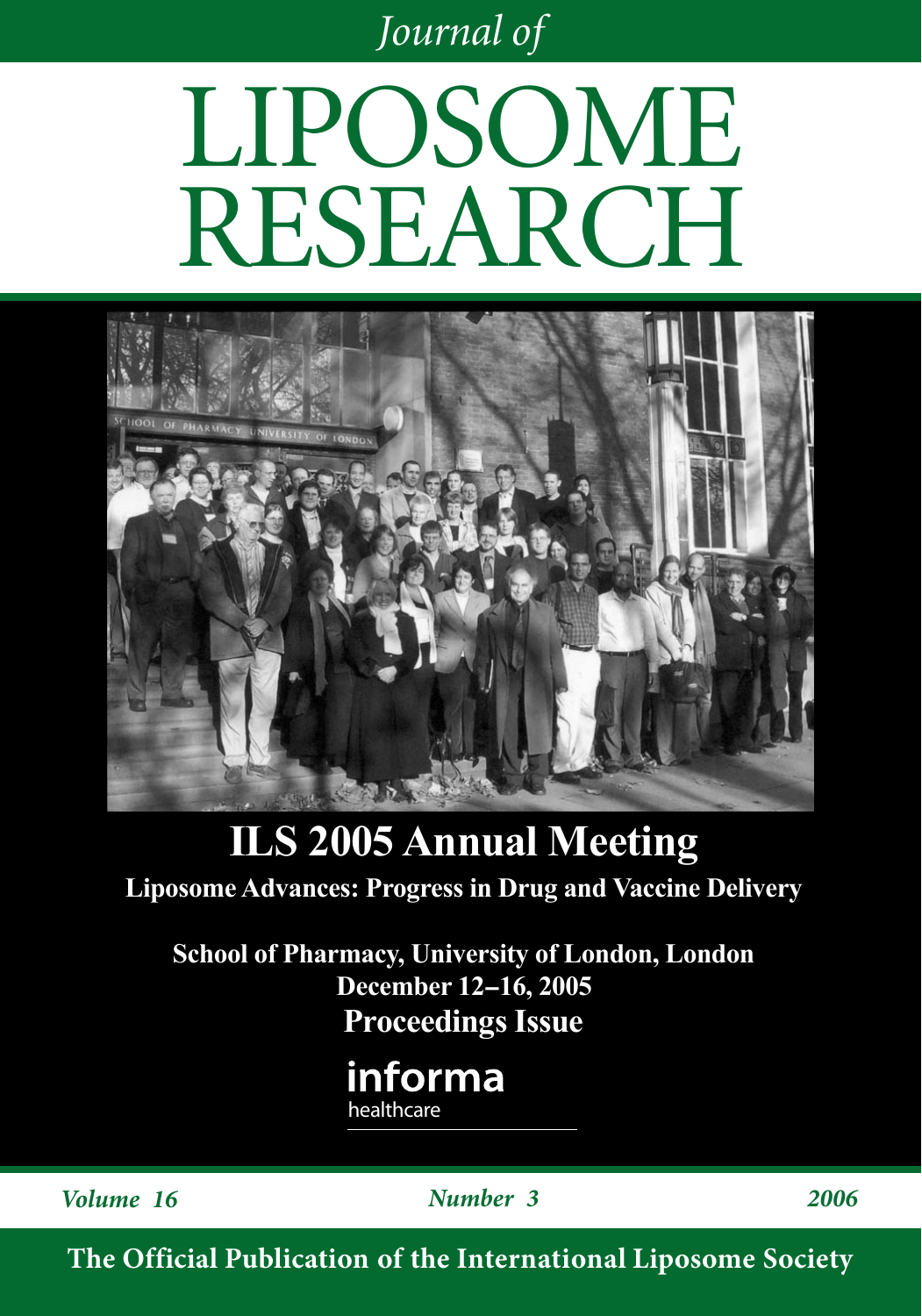*Journal of*

# LIPOSOME RESEARCH



## **ILS 2005 Annual Meeting**

**Liposome Advances: Progress in Drug and Vaccine Delivery**

**School of Pharmacy, University of London, London December 12-16, 2005 Proceedings Issue**

> informa healthcare

*Volume 16 Number 3 2006*

**The Official Publication of the International Liposome Society**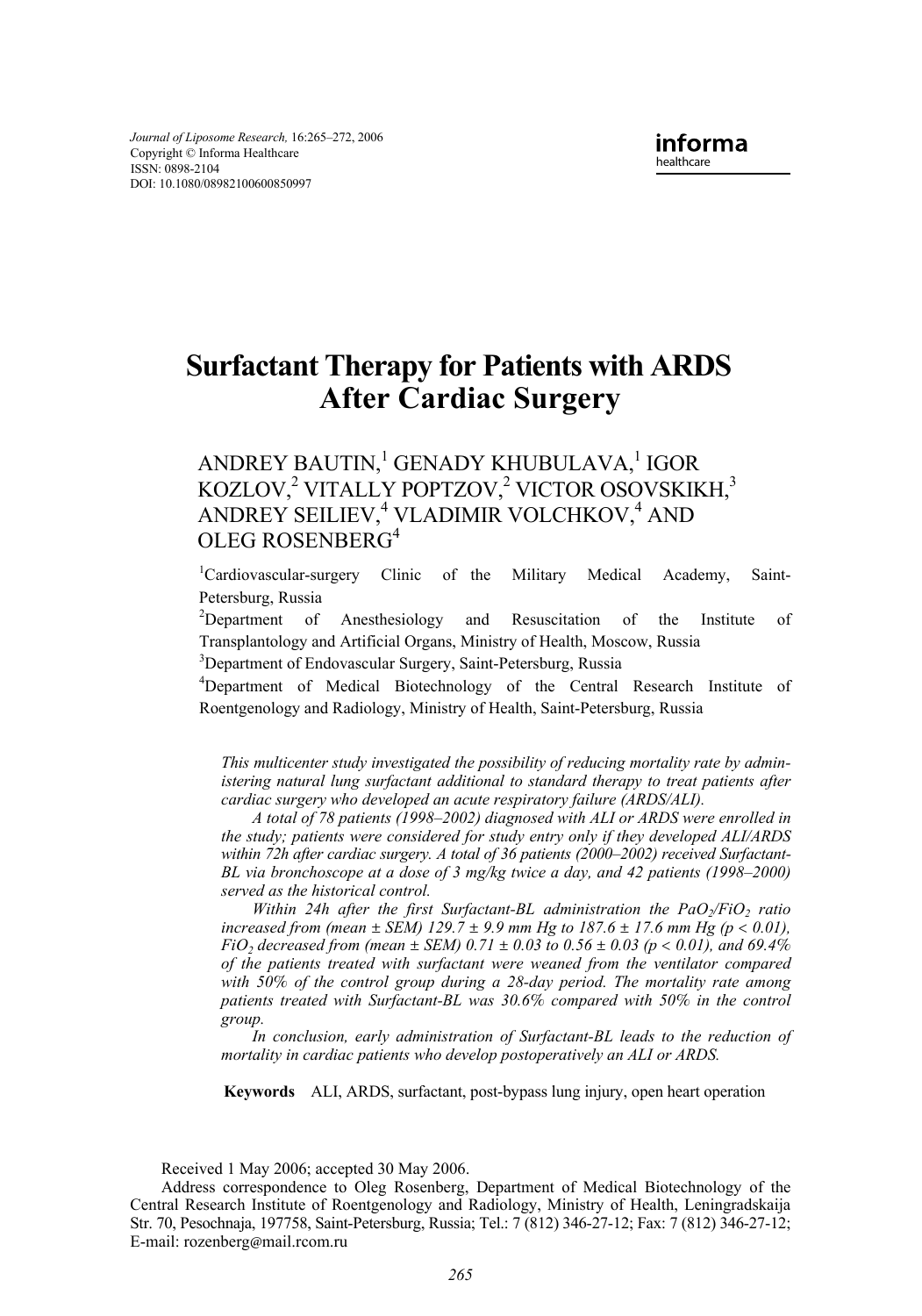### **Surfactant Therapy for Patients with ARDS After Cardiac Surgery**

#### ANDREY BAUTIN, $^1$ GENADY KHUBULAVA, $^1$ IGOR KOZLOV,<sup>2</sup> VITALLY POPTZOV,<sup>2</sup> VICTOR OSOVSKIKH,<sup>3</sup> ANDREY SEILIEV,<sup>4</sup> VLADIMIR VOLCHKOV,<sup>4</sup> AND OLEG ROSENBERG4

<sup>1</sup>Cardiovascular-surgery Clinic of the Military Medical Academy, Saint-Petersburg, Russia

<sup>2</sup>Department of Anesthesiology and Resuscitation of the Institute of Transplantology and Artificial Organs, Ministry of Health, Moscow, Russia 3

<sup>3</sup>Department of Endovascular Surgery, Saint-Petersburg, Russia

Department of Medical Biotechnology of the Central Research Institute of Roentgenology and Radiology, Ministry of Health, Saint-Petersburg, Russia

*This multicenter study investigated the possibility of reducing mortality rate by administering natural lung surfactant additional to standard therapy to treat patients after cardiac surgery who developed an acute respiratory failure (ARDS/ALI).*

*A total of 78 patients (1998–2002) diagnosed with ALI or ARDS were enrolled in the study; patients were considered for study entry only if they developed ALI/ARDS within 72h after cardiac surgery. A total of 36 patients (2000–2002) received Surfactant-BL via bronchoscope at a dose of 3 mg/kg twice a day, and 42 patients (1998–2000) served as the historical control.*

*Within 24h after the first Surfactant-BL administration the PaO<sub>2</sub>/FiO<sub>2</sub> ratio increased from (mean*  $\pm$  *SEM) 129.7*  $\pm$  *9.9 mm Hg to 187.6*  $\pm$  *17.6 mm Hg (p < 0.01), FiO<sub>2</sub>* decreased from (mean  $\pm$  *SEM*) 0.71  $\pm$  0.03 to 0.56  $\pm$  0.03 (p < 0.01), and 69.4% *of the patients treated with surfactant were weaned from the ventilator compared with 50*% *of the control group during a 28-day period. The mortality rate among patients treated with Surfactant-BL was 30.6*% *compared with 50*% *in the control group.*

*In conclusion, early administration of Surfactant-BL leads to the reduction of mortality in cardiac patients who develop postoperatively an ALI or ARDS.*

**Keywords** ALI, ARDS, surfactant, post-bypass lung injury, open heart operation

Received 1 May 2006; accepted 30 May 2006.

Address correspondence to Oleg Rosenberg, Department of Medical Biotechnology of the Central Research Institute of Roentgenology and Radiology, Ministry of Health, Leningradskaija Str. 70, Pesochnaja, 197758, Saint-Petersburg, Russia; Tel.: 7 (812) 346-27-12; Fax: 7 (812) 346-27-12; E-mail: rozenberg@mail.rcom.ru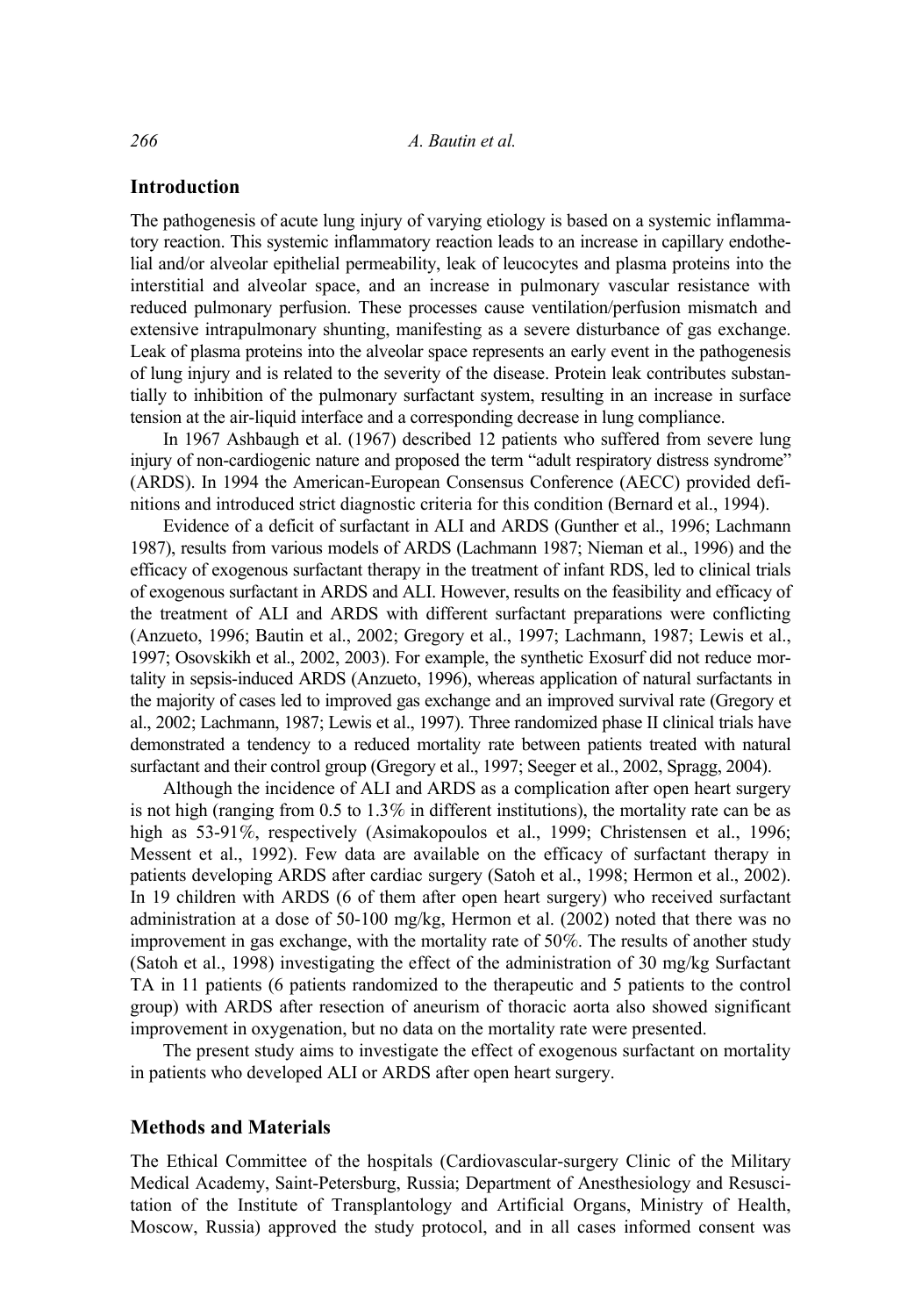#### **Introduction**

The pathogenesis of acute lung injury of varying etiology is based on a systemic inflammatory reaction. This systemic inflammatory reaction leads to an increase in capillary endothelial and/or alveolar epithelial permeability, leak of leucocytes and plasma proteins into the interstitial and alveolar space, and an increase in pulmonary vascular resistance with reduced pulmonary perfusion. These processes cause ventilation/perfusion mismatch and extensive intrapulmonary shunting, manifesting as a severe disturbance of gas exchange. Leak of plasma proteins into the alveolar space represents an early event in the pathogenesis of lung injury and is related to the severity of the disease. Protein leak contributes substantially to inhibition of the pulmonary surfactant system, resulting in an increase in surface tension at the air-liquid interface and a corresponding decrease in lung compliance.

In 1967 Ashbaugh et al. (1967) described 12 patients who suffered from severe lung injury of non-cardiogenic nature and proposed the term "adult respiratory distress syndrome" (ARDS). In 1994 the American-European Consensus Conference (AECC) provided definitions and introduced strict diagnostic criteria for this condition (Bernard et al., 1994).

Evidence of a deficit of surfactant in ALI and ARDS (Gunther et al., 1996; Lachmann 1987), results from various models of ARDS (Lachmann 1987; Nieman et al., 1996) and the efficacy of exogenous surfactant therapy in the treatment of infant RDS, led to clinical trials of exogenous surfactant in ARDS and ALI. However, results on the feasibility and efficacy of the treatment of ALI and ARDS with different surfactant preparations were conflicting (Anzueto, 1996; Bautin et al., 2002; Gregory et al., 1997; Lachmann, 1987; Lewis et al., 1997; Osovskikh et al., 2002, 2003). For example, the synthetic Exosurf did not reduce mortality in sepsis-induced ARDS (Anzueto, 1996), whereas application of natural surfactants in the majority of cases led to improved gas exchange and an improved survival rate (Gregory et al., 2002; Lachmann, 1987; Lewis et al., 1997). Three randomized phase II clinical trials have demonstrated a tendency to a reduced mortality rate between patients treated with natural surfactant and their control group (Gregory et al., 1997; Seeger et al., 2002, Spragg, 2004).

Although the incidence of ALI and ARDS as a complication after open heart surgery is not high (ranging from  $0.5$  to  $1.3\%$  in different institutions), the mortality rate can be as high as 53-91%, respectively (Asimakopoulos et al., 1999; Christensen et al., 1996; Messent et al., 1992). Few data are available on the efficacy of surfactant therapy in patients developing ARDS after cardiac surgery (Satoh et al., 1998; Hermon et al., 2002). In 19 children with ARDS (6 of them after open heart surgery) who received surfactant administration at a dose of 50-100 mg/kg, Hermon et al. (2002) noted that there was no improvement in gas exchange, with the mortality rate of 50%. The results of another study (Satoh et al., 1998) investigating the effect of the administration of 30 mg/kg Surfactant TA in 11 patients (6 patients randomized to the therapeutic and 5 patients to the control group) with ARDS after resection of aneurism of thoracic aorta also showed significant improvement in oxygenation, but no data on the mortality rate were presented.

The present study aims to investigate the effect of exogenous surfactant on mortality in patients who developed ALI or ARDS after open heart surgery.

#### **Methods and Materials**

The Ethical Committee of the hospitals (Cardiovascular-surgery Clinic of the Military Medical Academy, Saint-Petersburg, Russia; Department of Anesthesiology and Resuscitation of the Institute of Transplantology and Artificial Organs, Ministry of Health, Moscow, Russia) approved the study protocol, and in all cases informed consent was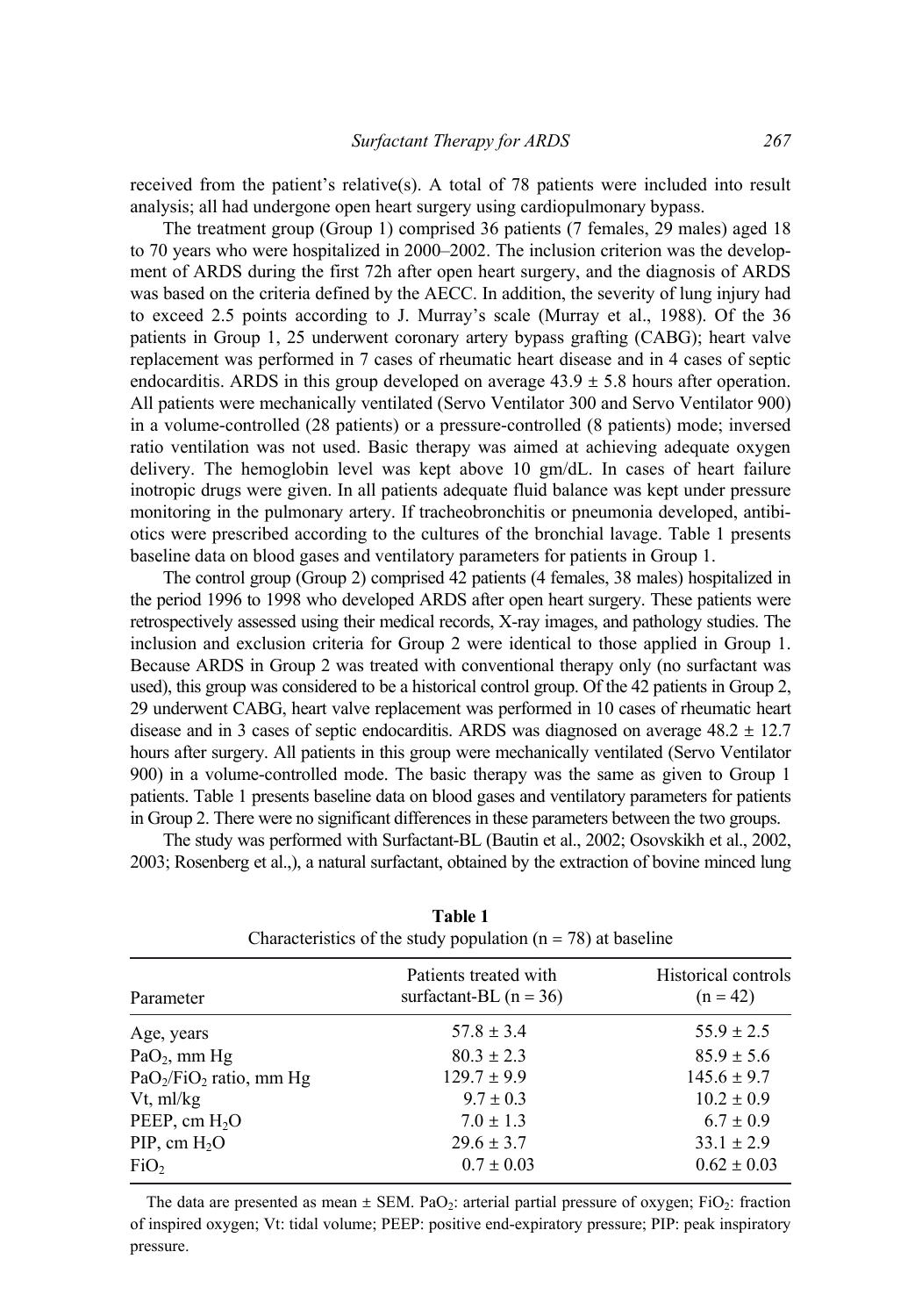received from the patient's relative(s). A total of 78 patients were included into result analysis; all had undergone open heart surgery using cardiopulmonary bypass.

The treatment group (Group 1) comprised 36 patients (7 females, 29 males) aged 18 to 70 years who were hospitalized in 2000–2002. The inclusion criterion was the development of ARDS during the first 72h after open heart surgery, and the diagnosis of ARDS was based on the criteria defined by the AECC. In addition, the severity of lung injury had to exceed 2.5 points according to J. Murray's scale (Murray et al., 1988). Of the 36 patients in Group 1, 25 underwent coronary artery bypass grafting (CABG); heart valve replacement was performed in 7 cases of rheumatic heart disease and in 4 cases of septic endocarditis. ARDS in this group developed on average  $43.9 \pm 5.8$  hours after operation. All patients were mechanically ventilated (Servo Ventilator 300 and Servo Ventilator 900) in a volume-controlled (28 patients) or a pressure-controlled (8 patients) mode; inversed ratio ventilation was not used. Basic therapy was aimed at achieving adequate oxygen delivery. The hemoglobin level was kept above 10 gm/dL. In cases of heart failure inotropic drugs were given. In all patients adequate fluid balance was kept under pressure monitoring in the pulmonary artery. If tracheobronchitis or pneumonia developed, antibiotics were prescribed according to the cultures of the bronchial lavage. Table 1 presents baseline data on blood gases and ventilatory parameters for patients in Group 1.

The control group (Group 2) comprised 42 patients (4 females, 38 males) hospitalized in the period 1996 to 1998 who developed ARDS after open heart surgery. These patients were retrospectively assessed using their medical records, X-ray images, and pathology studies. The inclusion and exclusion criteria for Group 2 were identical to those applied in Group 1. Because ARDS in Group 2 was treated with conventional therapy only (no surfactant was used), this group was considered to be a historical control group. Of the 42 patients in Group 2, 29 underwent CABG, heart valve replacement was performed in 10 cases of rheumatic heart disease and in 3 cases of septic endocarditis. ARDS was diagnosed on average  $48.2 \pm 12.7$ hours after surgery. All patients in this group were mechanically ventilated (Servo Ventilator 900) in a volume-controlled mode. The basic therapy was the same as given to Group 1 patients. Table 1 presents baseline data on blood gases and ventilatory parameters for patients in Group 2. There were no significant differences in these parameters between the two groups.

The study was performed with Surfactant-BL (Bautin et al., 2002; Osovskikh et al., 2002, 2003; Rosenberg et al.,), a natural surfactant, obtained by the extraction of bovine minced lung

| Characteristics of the study population ( $n = 78$ ) at baseline |                                                   |                                   |  |  |  |  |  |
|------------------------------------------------------------------|---------------------------------------------------|-----------------------------------|--|--|--|--|--|
| Parameter                                                        | Patients treated with<br>surfactant-BL $(n = 36)$ | Historical controls<br>$(n = 42)$ |  |  |  |  |  |
| Age, years                                                       | $57.8 \pm 3.4$                                    | $55.9 \pm 2.5$                    |  |  |  |  |  |
| $PaO2$ , mm Hg                                                   | $80.3 \pm 2.3$                                    | $85.9 \pm 5.6$                    |  |  |  |  |  |
| $PaO2/FiO2$ ratio, mm Hg                                         | $129.7 \pm 9.9$                                   | $145.6 \pm 9.7$                   |  |  |  |  |  |
| Vt, ml/kg                                                        | $9.7 \pm 0.3$                                     | $10.2 \pm 0.9$                    |  |  |  |  |  |
| PEEP, cm $H_2O$                                                  | $7.0 \pm 1.3$                                     | $6.7 \pm 0.9$                     |  |  |  |  |  |
| PIP, cm $H_2O$                                                   | $29.6 \pm 3.7$                                    | $33.1 \pm 2.9$                    |  |  |  |  |  |
| FiO <sub>2</sub>                                                 | $0.7 \pm 0.03$                                    | $0.62 \pm 0.03$                   |  |  |  |  |  |

| Table 1                                                          |
|------------------------------------------------------------------|
| Characteristics of the study population ( $n = 78$ ) at baseline |

The data are presented as mean  $\pm$  SEM. PaO<sub>2</sub>: arterial partial pressure of oxygen; FiO<sub>2</sub>: fraction of inspired oxygen; Vt: tidal volume; PEEP: positive end-expiratory pressure; PIP: peak inspiratory pressure.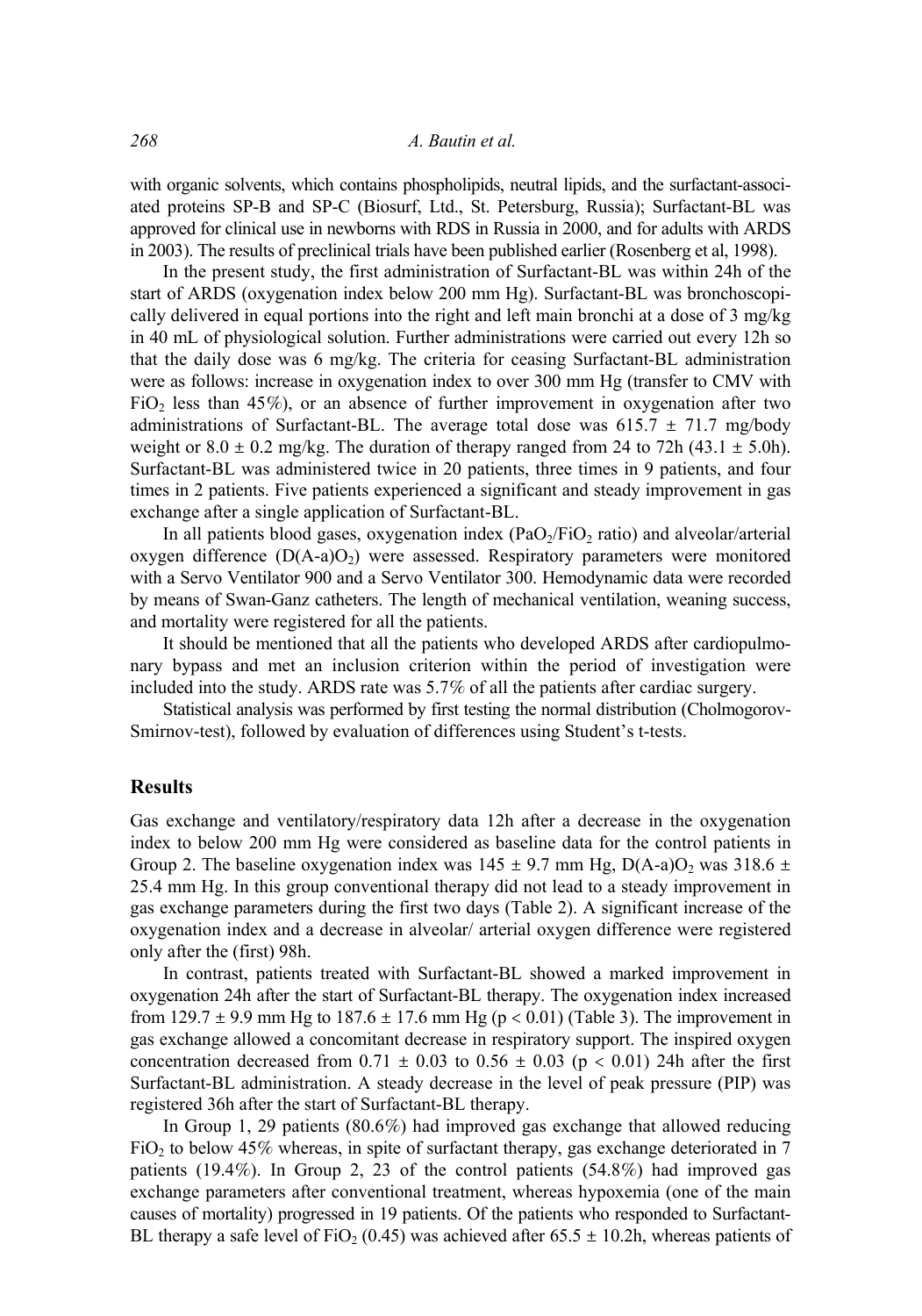with organic solvents, which contains phospholipids, neutral lipids, and the surfactant-associated proteins SP-B and SP-C (Biosurf, Ltd., St. Petersburg, Russia); Surfactant-BL was approved for clinical use in newborns with RDS in Russia in 2000, and for adults with ARDS in 2003). The results of preclinical trials have been published earlier (Rosenberg et al, 1998).

In the present study, the first administration of Surfactant-BL was within 24h of the start of ARDS (oxygenation index below 200 mm Hg). Surfactant-BL was bronchoscopically delivered in equal portions into the right and left main bronchi at a dose of 3 mg/kg in 40 mL of physiological solution. Further administrations were carried out every 12h so that the daily dose was 6 mg/kg. The criteria for ceasing Surfactant-BL administration were as follows: increase in oxygenation index to over 300 mm Hg (transfer to CMV with FiO<sub>2</sub> less than  $45\%$ ), or an absence of further improvement in oxygenation after two administrations of Surfactant-BL. The average total dose was  $615.7 \pm 71.7$  mg/body weight or  $8.0 \pm 0.2$  mg/kg. The duration of therapy ranged from 24 to 72h (43.1  $\pm$  5.0h). Surfactant-BL was administered twice in 20 patients, three times in 9 patients, and four times in 2 patients. Five patients experienced a significant and steady improvement in gas exchange after a single application of Surfactant-BL.

In all patients blood gases, oxygenation index  $(PaO<sub>2</sub>/FiO<sub>2</sub> ratio)$  and alveolar/arterial oxygen difference  $(D(A-a)O_2)$  were assessed. Respiratory parameters were monitored with a Servo Ventilator 900 and a Servo Ventilator 300. Hemodynamic data were recorded by means of Swan-Ganz catheters. The length of mechanical ventilation, weaning success, and mortality were registered for all the patients.

It should be mentioned that all the patients who developed ARDS after cardiopulmonary bypass and met an inclusion criterion within the period of investigation were included into the study. ARDS rate was 5.7% of all the patients after cardiac surgery.

Statistical analysis was performed by first testing the normal distribution (Cholmogorov-Smirnov-test), followed by evaluation of differences using Student's t-tests.

#### **Results**

Gas exchange and ventilatory/respiratory data 12h after a decrease in the oxygenation index to below 200 mm Hg were considered as baseline data for the control patients in Group 2. The baseline oxygenation index was  $145 \pm 9.7$  mm Hg, D(A-a)O<sub>2</sub> was  $318.6 \pm$ 25.4 mm Hg. In this group conventional therapy did not lead to a steady improvement in gas exchange parameters during the first two days (Table 2). A significant increase of the oxygenation index and a decrease in alveolar/ arterial oxygen difference were registered only after the (first) 98h.

In contrast, patients treated with Surfactant-BL showed a marked improvement in oxygenation 24h after the start of Surfactant-BL therapy. The oxygenation index increased from 129.7  $\pm$  9.9 mm Hg to 187.6  $\pm$  17.6 mm Hg (p < 0.01) (Table 3). The improvement in gas exchange allowed a concomitant decrease in respiratory support. The inspired oxygen concentration decreased from  $0.71 \pm 0.03$  to  $0.56 \pm 0.03$  (p < 0.01) 24h after the first Surfactant-BL administration. A steady decrease in the level of peak pressure (PIP) was registered 36h after the start of Surfactant-BL therapy.

In Group 1, 29 patients (80.6%) had improved gas exchange that allowed reducing  $FiO<sub>2</sub>$  to below 45% whereas, in spite of surfactant therapy, gas exchange deteriorated in 7 patients (19.4%). In Group 2, 23 of the control patients (54.8%) had improved gas exchange parameters after conventional treatment, whereas hypoxemia (one of the main causes of mortality) progressed in 19 patients. Of the patients who responded to Surfactant-BL therapy a safe level of FiO<sub>2</sub> (0.45) was achieved after 65.5  $\pm$  10.2h, whereas patients of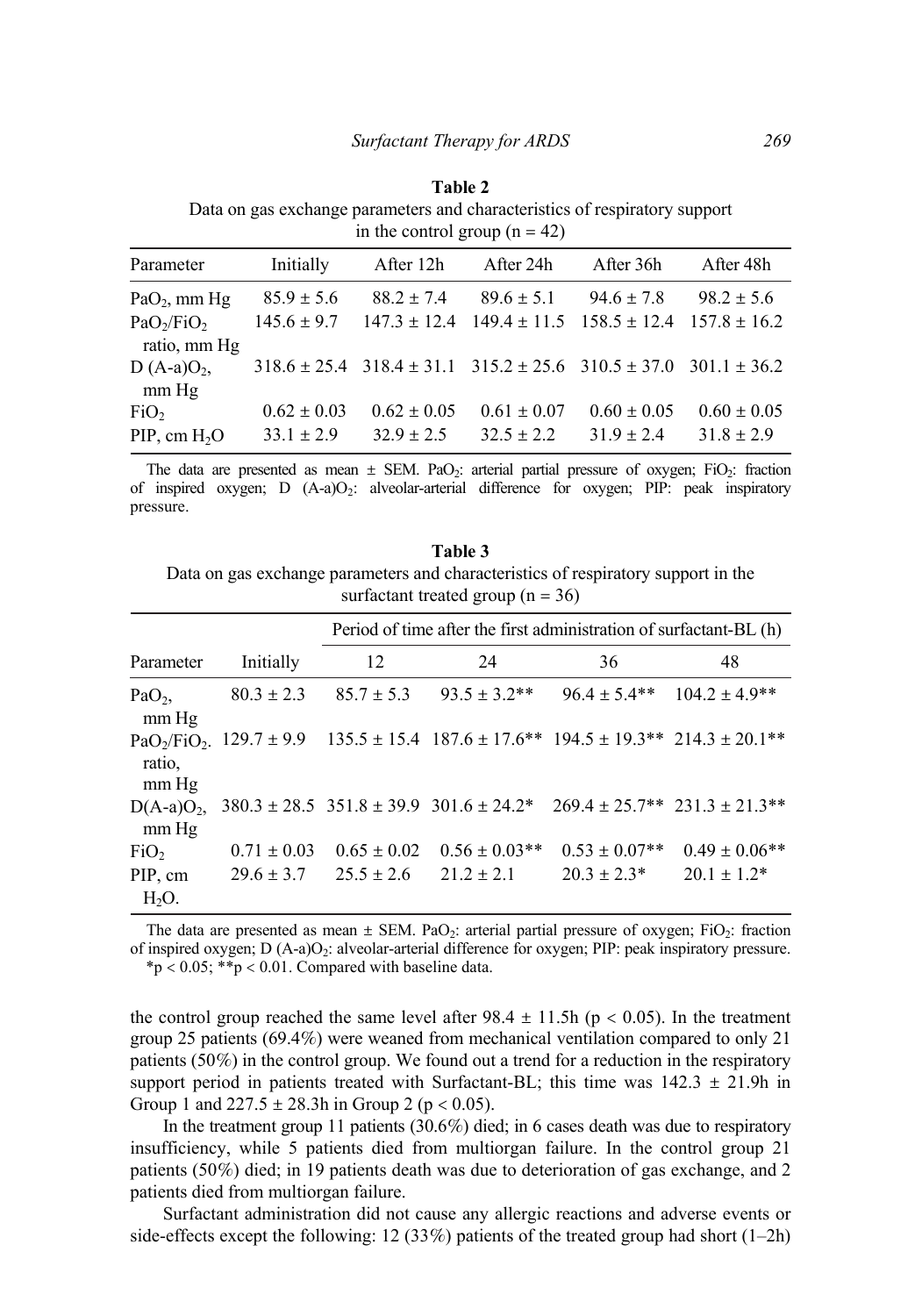#### **Table 2**

Data on gas exchange parameters and characteristics of respiratory support in the control group  $(n = 42)$ 

| Parameter                                          | Initially       | After 12h                                                                            | After 24h       | After 36h                         | After 48h        |
|----------------------------------------------------|-----------------|--------------------------------------------------------------------------------------|-----------------|-----------------------------------|------------------|
| Pa $O_2$ , mm Hg                                   | $85.9 \pm 5.6$  | $88.2 \pm 7.4$                                                                       | $89.6 \pm 5.1$  | $94.6 \pm 7.8$                    | $98.2 \pm 5.6$   |
| PaO <sub>2</sub> /FiO <sub>2</sub><br>ratio, mm Hg | $145.6 \pm 9.7$ | $147.3 \pm 12.4$                                                                     |                 | $149.4 \pm 11.5$ $158.5 \pm 12.4$ | $157.8 \pm 16.2$ |
| $D(A-a)O2$<br>$mm$ Hg                              |                 | $318.6 \pm 25.4$ $318.4 \pm 31.1$ $315.2 \pm 25.6$ $310.5 \pm 37.0$ $301.1 \pm 36.2$ |                 |                                   |                  |
| FiO <sub>2</sub>                                   | $0.62 \pm 0.03$ | $0.62 \pm 0.05$                                                                      | $0.61 \pm 0.07$ | $0.60 \pm 0.05$                   | $0.60 \pm 0.05$  |
| $PIP$ , cm $H_2O$                                  | $33.1 \pm 2.9$  | $32.9 \pm 2.5$                                                                       | $32.5 \pm 2.2$  | $31.9 \pm 2.4$                    | $31.8 \pm 2.9$   |

The data are presented as mean  $\pm$  SEM. PaO<sub>2</sub>: arterial partial pressure of oxygen; FiO<sub>2</sub>: fraction of inspired oxygen; D (A-a)O2: alveolar-arterial difference for oxygen; PIP: peak inspiratory pressure.

**Table 3** Data on gas exchange parameters and characteristics of respiratory support in the surfactant treated group  $(n = 36)$ 

|                           |                 | Period of time after the first administration of surfactant-BL (h) |                    |                                                                                                                                                                    |                                                                                                      |  |
|---------------------------|-----------------|--------------------------------------------------------------------|--------------------|--------------------------------------------------------------------------------------------------------------------------------------------------------------------|------------------------------------------------------------------------------------------------------|--|
| Parameter                 | Initially       | 12                                                                 | 24                 | 36                                                                                                                                                                 | 48                                                                                                   |  |
| PaO <sub>2</sub><br>mm Hg | $80.3 \pm 2.3$  | $85.7 \pm 5.3$                                                     | $93.5 \pm 3.2$ **  | $96.4 \pm 5.4**$                                                                                                                                                   | $104.2 \pm 4.9**$                                                                                    |  |
| ratio,<br>mm Hg           |                 |                                                                    |                    | PaO <sub>2</sub> /FiO <sub>2</sub> . $129.7 \pm 9.9$ $135.5 \pm 15.4$ $187.6 \pm 17.6$ <sup>**</sup> $194.5 \pm 19.3$ <sup>**</sup> $214.3 \pm 20.1$ <sup>**</sup> |                                                                                                      |  |
| $D(A-a)O_2$<br>$mm$ Hg    |                 |                                                                    |                    |                                                                                                                                                                    | $380.3 \pm 28.5$ $351.8 \pm 39.9$ $301.6 \pm 24.2$ $269.4 \pm 25.7$ $321.3 \pm 21.3$ $33.4 \pm 21.3$ |  |
| FiO <sub>2</sub>          | $0.71 \pm 0.03$ | $0.65 \pm 0.02$                                                    | $0.56 \pm 0.03$ ** | $0.53 \pm 0.07**$                                                                                                                                                  | $0.49 \pm 0.06$ **                                                                                   |  |
| PIP, cm<br>$H2O$ .        |                 | $29.6 \pm 3.7$ $25.5 \pm 2.6$                                      | $21.2 \pm 2.1$     | $20.3 \pm 2.3^*$                                                                                                                                                   | $20.1 \pm 1.2^*$                                                                                     |  |

The data are presented as mean  $\pm$  SEM. PaO<sub>2</sub>: arterial partial pressure of oxygen; FiO<sub>2</sub>: fraction of inspired oxygen;  $D(A-a)O<sub>2</sub>$ : alveolar-arterial difference for oxygen; PIP: peak inspiratory pressure. \*p < 0.05; \*\*p < 0.01. Compared with baseline data.

the control group reached the same level after  $98.4 \pm 11.5$  h (p < 0.05). In the treatment group 25 patients (69.4%) were weaned from mechanical ventilation compared to only 21 patients (50%) in the control group. We found out a trend for a reduction in the respiratory support period in patients treated with Surfactant-BL; this time was  $142.3 \pm 21.9$ h in Group 1 and  $227.5 \pm 28.3h$  in Group 2 (p < 0.05).

In the treatment group 11 patients (30.6%) died; in 6 cases death was due to respiratory insufficiency, while 5 patients died from multiorgan failure. In the control group 21 patients (50%) died; in 19 patients death was due to deterioration of gas exchange, and 2 patients died from multiorgan failure.

Surfactant administration did not cause any allergic reactions and adverse events or side-effects except the following: 12 (33%) patients of the treated group had short  $(1-2h)$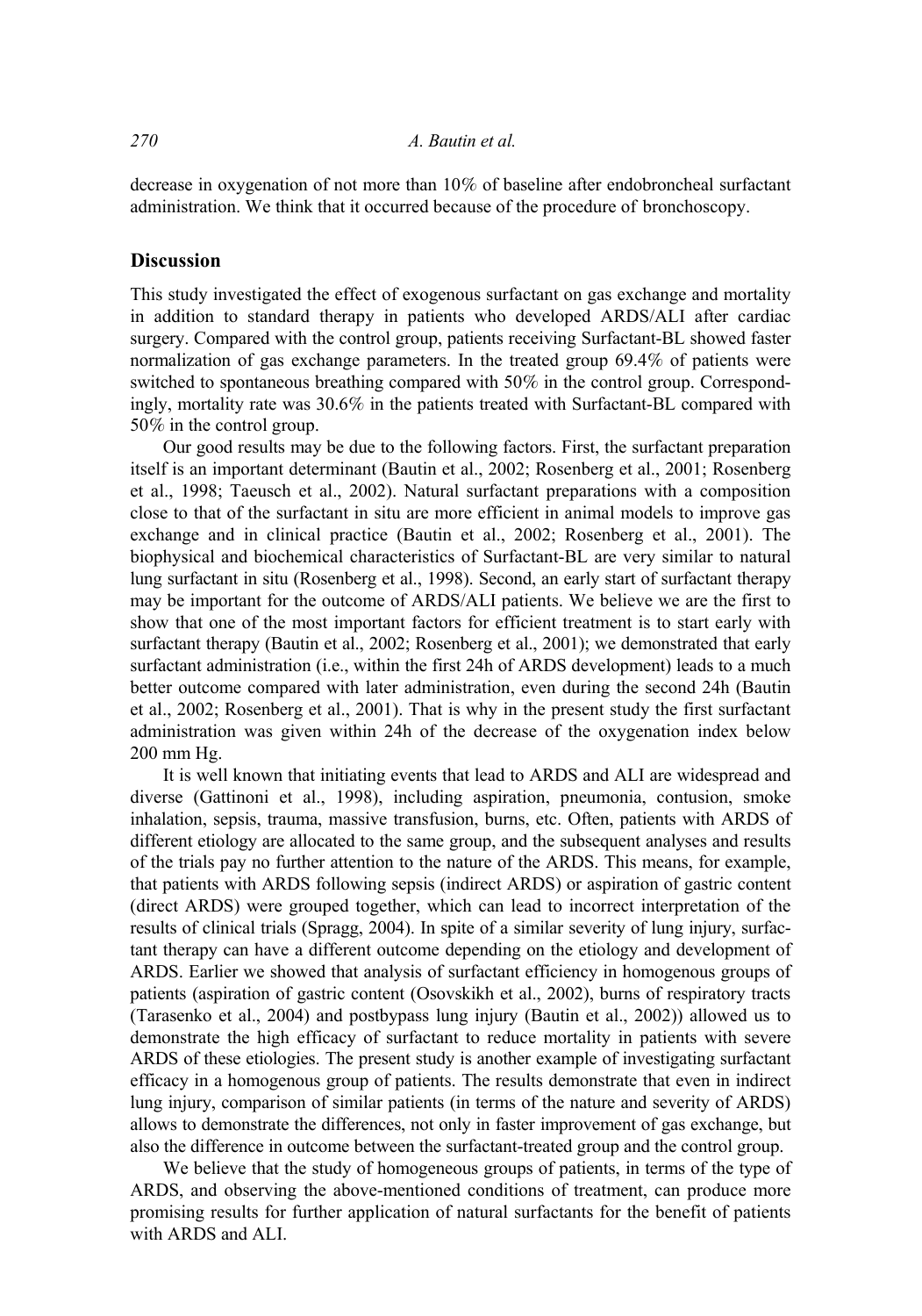decrease in oxygenation of not more than 10% of baseline after endobroncheal surfactant administration. We think that it occurred because of the procedure of bronchoscopy.

#### **Discussion**

This study investigated the effect of exogenous surfactant on gas exchange and mortality in addition to standard therapy in patients who developed ARDS/ALI after cardiac surgery. Compared with the control group, patients receiving Surfactant-BL showed faster normalization of gas exchange parameters. In the treated group 69.4% of patients were switched to spontaneous breathing compared with 50% in the control group. Correspondingly, mortality rate was 30.6% in the patients treated with Surfactant-BL compared with 50% in the control group.

Our good results may be due to the following factors. First, the surfactant preparation itself is an important determinant (Bautin et al., 2002; Rosenberg et al., 2001; Rosenberg et al., 1998; Taeusch et al., 2002). Natural surfactant preparations with a composition close to that of the surfactant in situ are more efficient in animal models to improve gas exchange and in clinical practice (Bautin et al., 2002; Rosenberg et al., 2001). The biophysical and biochemical characteristics of Surfactant-BL are very similar to natural lung surfactant in situ (Rosenberg et al., 1998). Second, an early start of surfactant therapy may be important for the outcome of ARDS/ALI patients. We believe we are the first to show that one of the most important factors for efficient treatment is to start early with surfactant therapy (Bautin et al., 2002; Rosenberg et al., 2001); we demonstrated that early surfactant administration (i.e., within the first 24h of ARDS development) leads to a much better outcome compared with later administration, even during the second 24h (Bautin et al., 2002; Rosenberg et al., 2001). That is why in the present study the first surfactant administration was given within 24h of the decrease of the oxygenation index below 200 mm Hg.

It is well known that initiating events that lead to ARDS and ALI are widespread and diverse (Gattinoni et al., 1998), including aspiration, pneumonia, contusion, smoke inhalation, sepsis, trauma, massive transfusion, burns, etc. Often, patients with ARDS of different etiology are allocated to the same group, and the subsequent analyses and results of the trials pay no further attention to the nature of the ARDS. This means, for example, that patients with ARDS following sepsis (indirect ARDS) or aspiration of gastric content (direct ARDS) were grouped together, which can lead to incorrect interpretation of the results of clinical trials (Spragg, 2004). In spite of a similar severity of lung injury, surfactant therapy can have a different outcome depending on the etiology and development of ARDS. Earlier we showed that analysis of surfactant efficiency in homogenous groups of patients (aspiration of gastric content (Osovskikh et al., 2002), burns of respiratory tracts (Tarasenko et al., 2004) and postbypass lung injury (Bautin et al., 2002)) allowed us to demonstrate the high efficacy of surfactant to reduce mortality in patients with severe ARDS of these etiologies. The present study is another example of investigating surfactant efficacy in a homogenous group of patients. The results demonstrate that even in indirect lung injury, comparison of similar patients (in terms of the nature and severity of ARDS) allows to demonstrate the differences, not only in faster improvement of gas exchange, but also the difference in outcome between the surfactant-treated group and the control group.

We believe that the study of homogeneous groups of patients, in terms of the type of ARDS, and observing the above-mentioned conditions of treatment, can produce more promising results for further application of natural surfactants for the benefit of patients with ARDS and ALI.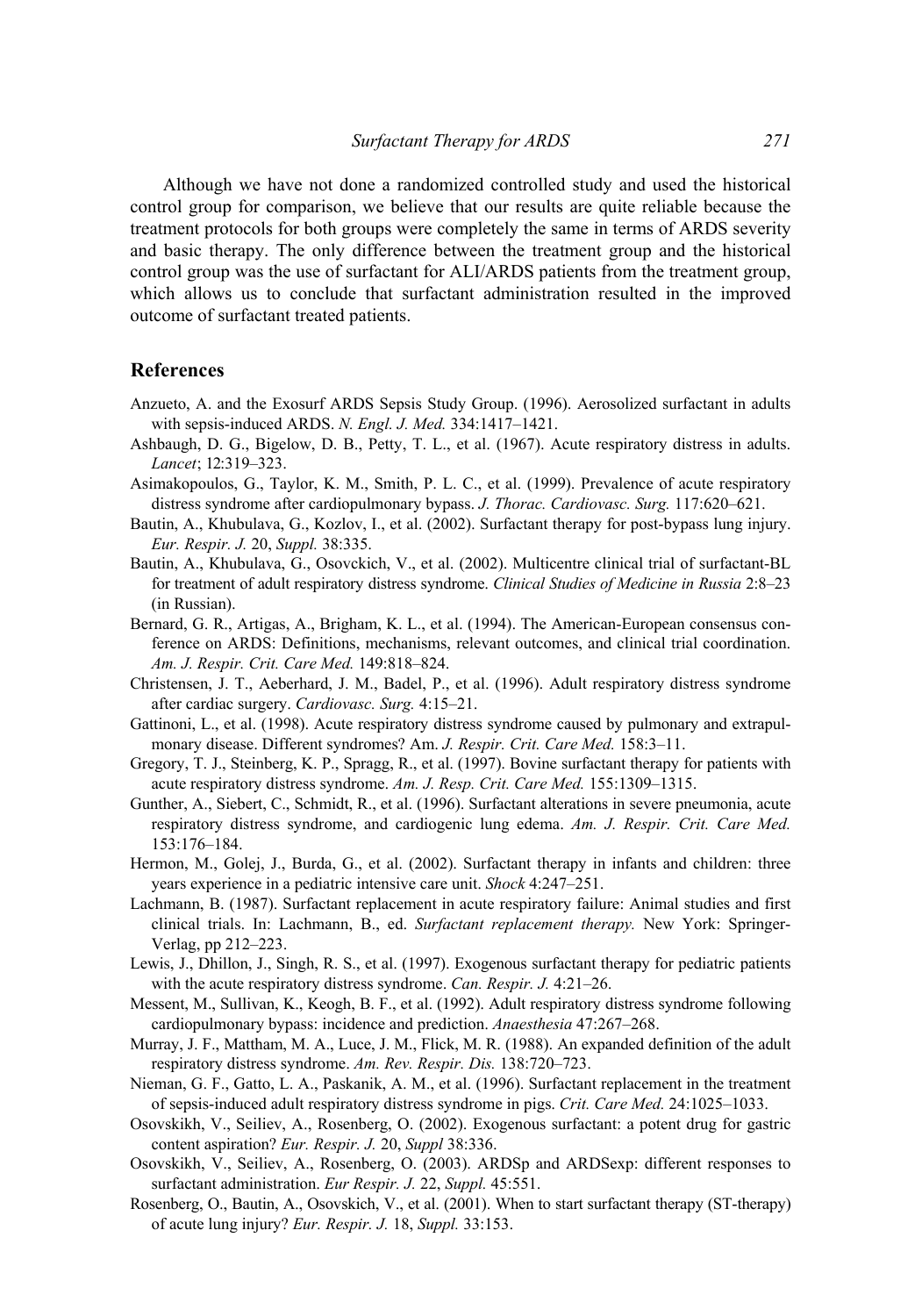Although we have not done a randomized controlled study and used the historical control group for comparison, we believe that our results are quite reliable because the treatment protocols for both groups were completely the same in terms of ARDS severity and basic therapy. The only difference between the treatment group and the historical control group was the use of surfactant for ALI/ARDS patients from the treatment group, which allows us to conclude that surfactant administration resulted in the improved outcome of surfactant treated patients.

#### **References**

- Anzueto, A. and the Exosurf ARDS Sepsis Study Group. (1996). Aerosolized surfactant in adults with sepsis-induced ARDS. *N. Engl. J. Med.* 334:1417–1421.
- Ashbaugh, D. G., Bigelow, D. B., Petty, T. L., et al. (1967). Acute respiratory distress in adults. *Lancet*; 12:319–323.
- Asimakopoulos, G., Taylor, K. M., Smith, P. L. C., et al. (1999). Prevalence of acute respiratory distress syndrome after cardiopulmonary bypass. *J. Thorac. Cardiovasc. Surg.* 117:620–621.
- Bautin, A., Khubulava, G., Kozlov, I., et al. (2002). Surfactant therapy for post-bypass lung injury. *Eur. Respir. J.* 20, *Suppl.* 38:335.
- Bautin, A., Khubulava, G., Osovckich, V., et al. (2002). Multicentre clinical trial of surfactant-BL for treatment of adult respiratory distress syndrome. *Clinical Studies of Medicine in Russia* 2:8–23 (in Russian).
- Bernard, G. R., Artigas, A., Brigham, K. L., et al. (1994). The American-European consensus conference on ARDS: Definitions, mechanisms, relevant outcomes, and clinical trial coordination. *Am. J. Respir. Crit. Care Med.* 149:818–824.
- Christensen, J. T., Aeberhard, J. M., Badel, P., et al. (1996). Adult respiratory distress syndrome after cardiac surgery. *Cardiovasc. Surg.* 4:15–21.
- Gattinoni, L., et al. (1998). Acute respiratory distress syndrome caused by pulmonary and extrapulmonary disease. Different syndromes? Am. *J. Respir. Crit. Care Med.* 158:3–11.
- Gregory, T. J., Steinberg, K. P., Spragg, R., et al. (1997). Bovine surfactant therapy for patients with acute respiratory distress syndrome. *Am. J. Resp. Crit. Care Med.* 155:1309–1315.
- Gunther, A., Siebert, C., Schmidt, R., et al. (1996). Surfactant alterations in severe pneumonia, acute respiratory distress syndrome, and cardiogenic lung edema. *Am. J. Respir. Crit. Care Med.*  153:176–184.
- Hermon, M., Golej, J., Burda, G., et al. (2002). Surfactant therapy in infants and children: three years experience in a pediatric intensive care unit. *Shock* 4:247–251.
- Lachmann, B. (1987). Surfactant replacement in acute respiratory failure: Animal studies and first clinical trials. In: Lachmann, B., ed. *Surfactant replacement therapy.* New York: Springer-Verlag, pp 212–223.
- Lewis, J., Dhillon, J., Singh, R. S., et al. (1997). Exogenous surfactant therapy for pediatric patients with the acute respiratory distress syndrome. *Can. Respir. J.* 4:21–26.
- Messent, M., Sullivan, K., Keogh, B. F., et al. (1992). Adult respiratory distress syndrome following cardiopulmonary bypass: incidence and prediction. *Anaesthesia* 47:267–268.
- Murray, J. F., Mattham, M. A., Luce, J. M., Flick, M. R. (1988). An expanded definition of the adult respiratory distress syndrome. *Am. Rev. Respir. Dis.* 138:720–723.
- Nieman, G. F., Gatto, L. A., Paskanik, A. M., et al. (1996). Surfactant replacement in the treatment of sepsis-induced adult respiratory distress syndrome in pigs. *Crit. Care Med.* 24:1025–1033.
- Osovskikh, V., Seiliev, A., Rosenberg, O. (2002). Exogenous surfactant: a potent drug for gastric content aspiration? *Eur. Respir. J.* 20, *Suppl* 38:336.
- Osovskikh, V., Seiliev, A., Rosenberg, O. (2003). ARDSp and ARDSexp: different responses to surfactant administration. *Eur Respir. J.* 22, *Suppl.* 45:551.
- Rosenberg, O., Bautin, A., Osovskich, V., et al. (2001). When to start surfactant therapy (ST-therapy) of acute lung injury? *Eur. Respir. J.* 18, *Suppl.* 33:153.